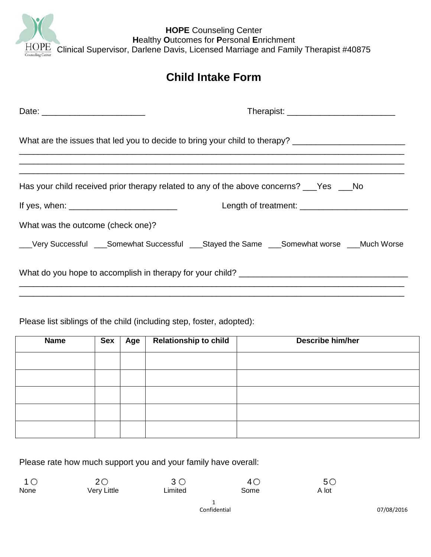

| <b>Child Intake Form</b>                                                                             |  |  |  |
|------------------------------------------------------------------------------------------------------|--|--|--|
|                                                                                                      |  |  |  |
|                                                                                                      |  |  |  |
| What are the issues that led you to decide to bring your child to therapy? _________________________ |  |  |  |
| Has your child received prior therapy related to any of the above concerns? ___Yes ___No             |  |  |  |
|                                                                                                      |  |  |  |
| What was the outcome (check one)?                                                                    |  |  |  |
| __Very Successful ___Somewhat Successful ___Stayed the Same ___Somewhat worse ___Much Worse          |  |  |  |
|                                                                                                      |  |  |  |

Please list siblings of the child (including step, foster, adopted):

| <b>Name</b> | <b>Sex</b> | Age | <b>Relationship to child</b> | <b>Describe him/her</b> |
|-------------|------------|-----|------------------------------|-------------------------|
|             |            |     |                              |                         |
|             |            |     |                              |                         |
|             |            |     |                              |                         |
|             |            |     |                              |                         |
|             |            |     |                              |                         |

Please rate how much support you and your family have overall:

| 1 <sup>O</sup> | 20          |         | 40   | 50 <sub>1</sub> |
|----------------|-------------|---------|------|-----------------|
| None           | Very Little | ∟imited | Some | A lot           |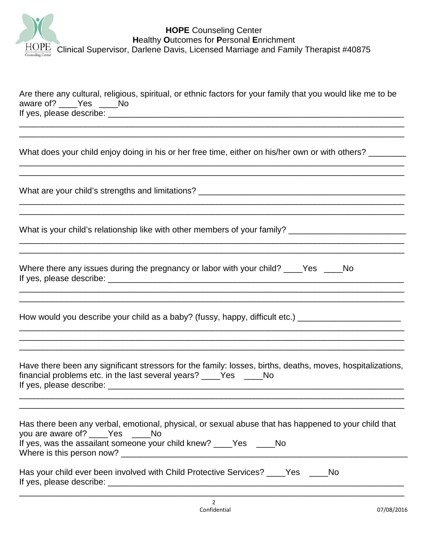

| Are there any cultural, religious, spiritual, or ethnic factors for your family that you would like me to be<br>aware of? _____ Yes _____ No                                                                  |  |  |  |
|---------------------------------------------------------------------------------------------------------------------------------------------------------------------------------------------------------------|--|--|--|
|                                                                                                                                                                                                               |  |  |  |
| What does your child enjoy doing in his or her free time, either on his/her own or with others?                                                                                                               |  |  |  |
|                                                                                                                                                                                                               |  |  |  |
| What is your child's relationship like with other members of your family? __________________________                                                                                                          |  |  |  |
| Where there any issues during the pregnancy or labor with your child? ____Yes ____No                                                                                                                          |  |  |  |
| How would you describe your child as a baby? (fussy, happy, difficult etc.) ________________________                                                                                                          |  |  |  |
| Have there been any significant stressors for the family: losses, births, deaths, moves, hospitalizations,<br>financial problems etc. in the last several years? ____Yes _____No                              |  |  |  |
| Has there been any verbal, emotional, physical, or sexual abuse that has happened to your child that<br>you are aware of? ____Yes ____No<br>If yes, was the assailant someone your child knew? ____Yes ____No |  |  |  |
| Has your child ever been involved with Child Protective Services? ____Yes ____<br>No.                                                                                                                         |  |  |  |

\_\_\_\_\_\_\_\_\_\_\_\_\_\_\_\_\_\_\_\_\_\_\_\_\_\_\_\_\_\_\_\_\_\_\_\_\_\_\_\_\_\_\_\_\_\_\_\_\_\_\_\_\_\_\_\_\_\_\_\_\_\_\_\_\_\_\_\_\_\_\_\_\_\_\_\_\_\_\_\_\_\_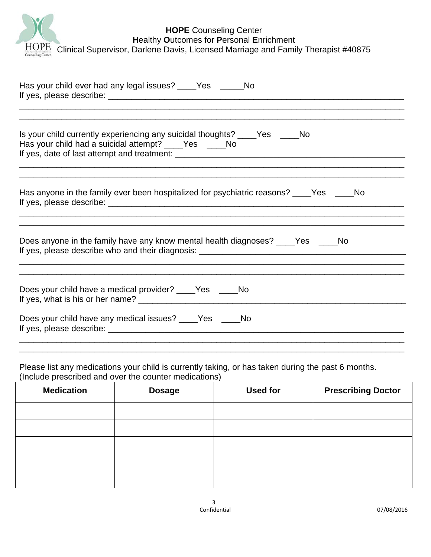|                   | <b>HOPE</b> Counseling Center                                                          |
|-------------------|----------------------------------------------------------------------------------------|
|                   | <b>Healthy Outcomes for Personal Enrichment</b>                                        |
|                   | HOPE Clinical Supervisor, Darlene Davis, Licensed Marriage and Family Therapist #40875 |
| Counseling Center |                                                                                        |

| Has your child ever had any legal issues? ____Yes _____No                                                                            |
|--------------------------------------------------------------------------------------------------------------------------------------|
| Is your child currently experiencing any suicidal thoughts? ____Yes _____No<br>Has your child had a suicidal attempt? ____Yes ____No |
| Has anyone in the family ever been hospitalized for psychiatric reasons? ____Yes ____No                                              |
| Does anyone in the family have any know mental health diagnoses? ____Yes ____No                                                      |
| Does your child have a medical provider? _____Yes ______No                                                                           |
| Does your child have any medical issues? ____Yes ____No                                                                              |

Please list any medications your child is currently taking, or has taken during the past 6 months. (Include prescribed and over the counter medications)

| <b>Medication</b> | <b>Dosage</b> | <b>Used for</b> | <b>Prescribing Doctor</b> |
|-------------------|---------------|-----------------|---------------------------|
|                   |               |                 |                           |
|                   |               |                 |                           |
|                   |               |                 |                           |
|                   |               |                 |                           |
|                   |               |                 |                           |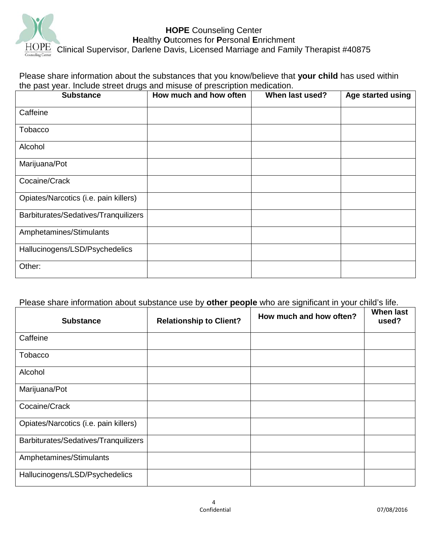

Please share information about the substances that you know/believe that **your child** has used within the past year. Include street drugs and misuse of prescription medication.

| <b>Substance</b>                      | How much and how often | When last used? | Age started using |
|---------------------------------------|------------------------|-----------------|-------------------|
| Caffeine                              |                        |                 |                   |
| Tobacco                               |                        |                 |                   |
| Alcohol                               |                        |                 |                   |
| Marijuana/Pot                         |                        |                 |                   |
| Cocaine/Crack                         |                        |                 |                   |
| Opiates/Narcotics (i.e. pain killers) |                        |                 |                   |
| Barbiturates/Sedatives/Tranquilizers  |                        |                 |                   |
| Amphetamines/Stimulants               |                        |                 |                   |
| Hallucinogens/LSD/Psychedelics        |                        |                 |                   |
| Other:                                |                        |                 |                   |

## Please share information about substance use by **other people** who are significant in your child's life.

| <b>Substance</b>                      | <b>Relationship to Client?</b> | How much and how often? | <b>When last</b><br>used? |
|---------------------------------------|--------------------------------|-------------------------|---------------------------|
| Caffeine                              |                                |                         |                           |
| <b>Tobacco</b>                        |                                |                         |                           |
| Alcohol                               |                                |                         |                           |
| Marijuana/Pot                         |                                |                         |                           |
| Cocaine/Crack                         |                                |                         |                           |
| Opiates/Narcotics (i.e. pain killers) |                                |                         |                           |
| Barbiturates/Sedatives/Tranquilizers  |                                |                         |                           |
| Amphetamines/Stimulants               |                                |                         |                           |
| Hallucinogens/LSD/Psychedelics        |                                |                         |                           |